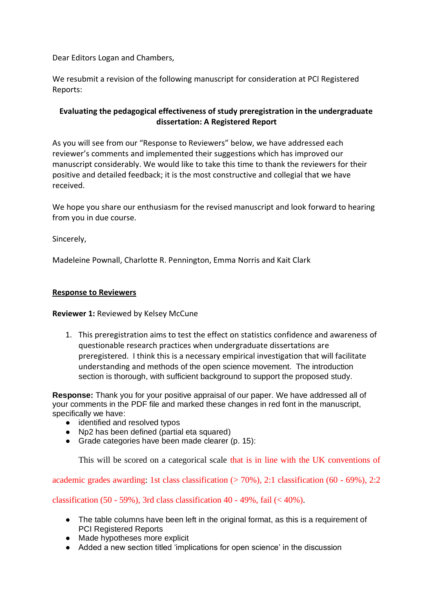Dear Editors Logan and Chambers,

We resubmit a revision of the following manuscript for consideration at PCI Registered Reports:

# **Evaluating the pedagogical effectiveness of study preregistration in the undergraduate dissertation: A Registered Report**

As you will see from our "Response to Reviewers" below, we have addressed each reviewer's comments and implemented their suggestions which has improved our manuscript considerably. We would like to take this time to thank the reviewers for their positive and detailed feedback; it is the most constructive and collegial that we have received.

We hope you share our enthusiasm for the revised manuscript and look forward to hearing from you in due course.

Sincerely,

Madeleine Pownall, Charlotte R. Pennington, Emma Norris and Kait Clark

### **Response to Reviewers**

### **Reviewer 1:** Reviewed by Kelsey McCune

1. This preregistration aims to test the effect on statistics confidence and awareness of questionable research practices when undergraduate dissertations are preregistered. I think this is a necessary empirical investigation that will facilitate understanding and methods of the open science movement. The introduction section is thorough, with sufficient background to support the proposed study.

**Response:** Thank you for your positive appraisal of our paper. We have addressed all of your comments in the PDF file and marked these changes in red font in the manuscript, specifically we have:

- identified and resolved typos
- Np2 has been defined (partial eta squared)
- Grade categories have been made clearer (p. 15):

This will be scored on a categorical scale that is in line with the UK conventions of

academic grades awarding: 1st class classification  $(570\%)$ , 2:1 classification  $(60 - 69\%)$ , 2:2

classification (50 - 59%), 3rd class classification 40 - 49%, fail  $(< 40\%)$ .

- The table columns have been left in the original format, as this is a requirement of PCI Registered Reports
- Made hypotheses more explicit
- Added a new section titled 'implications for open science' in the discussion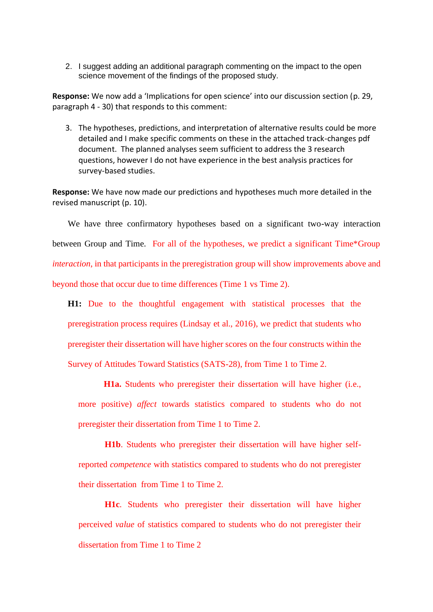2. I suggest adding an additional paragraph commenting on the impact to the open science movement of the findings of the proposed study.

**Response:** We now add a 'Implications for open science' into our discussion section (p. 29, paragraph 4 - 30) that responds to this comment:

3. The hypotheses, predictions, and interpretation of alternative results could be more detailed and I make specific comments on these in the attached track-changes pdf document. The planned analyses seem sufficient to address the 3 research questions, however I do not have experience in the best analysis practices for survey-based studies.

**Response:** We have now made our predictions and hypotheses much more detailed in the revised manuscript (p. 10).

We have three confirmatory hypotheses based on a significant two-way interaction between Group and Time. For all of the hypotheses, we predict a significant Time\*Group *interaction*, in that participants in the preregistration group will show improvements above and beyond those that occur due to time differences (Time 1 vs Time 2).

**H1:** Due to the thoughtful engagement with statistical processes that the preregistration process requires (Lindsay et al., 2016), we predict that students who preregister their dissertation will have higher scores on the four constructs within the Survey of Attitudes Toward Statistics (SATS-28), from Time 1 to Time 2.

**H1a.** Students who preregister their dissertation will have higher (i.e., more positive) *affect* towards statistics compared to students who do not preregister their dissertation from Time 1 to Time 2.

**H1b**. Students who preregister their dissertation will have higher selfreported *competence* with statistics compared to students who do not preregister their dissertation from Time 1 to Time 2.

**H1c**. Students who preregister their dissertation will have higher perceived *value* of statistics compared to students who do not preregister their dissertation from Time 1 to Time 2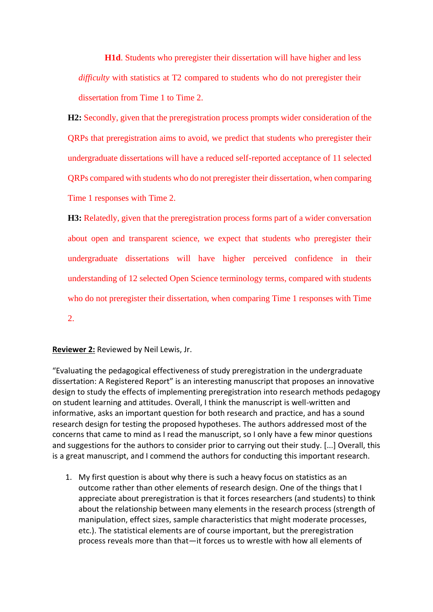**H1d**. Students who preregister their dissertation will have higher and less *difficulty* with statistics at T2 compared to students who do not preregister their dissertation from Time 1 to Time 2.

**H2:** Secondly, given that the preregistration process prompts wider consideration of the QRPs that preregistration aims to avoid, we predict that students who preregister their undergraduate dissertations will have a reduced self-reported acceptance of 11 selected QRPs compared with students who do not preregister their dissertation, when comparing Time 1 responses with Time 2.

**H3:** Relatedly, given that the preregistration process forms part of a wider conversation about open and transparent science, we expect that students who preregister their undergraduate dissertations will have higher perceived confidence in their understanding of 12 selected Open Science terminology terms, compared with students who do not preregister their dissertation, when comparing Time 1 responses with Time

2.

#### **Reviewer 2:** Reviewed by Neil Lewis, Jr.

"Evaluating the pedagogical effectiveness of study preregistration in the undergraduate dissertation: A Registered Report" is an interesting manuscript that proposes an innovative design to study the effects of implementing preregistration into research methods pedagogy on student learning and attitudes. Overall, I think the manuscript is well-written and informative, asks an important question for both research and practice, and has a sound research design for testing the proposed hypotheses. The authors addressed most of the concerns that came to mind as I read the manuscript, so I only have a few minor questions and suggestions for the authors to consider prior to carrying out their study. [...] Overall, this is a great manuscript, and I commend the authors for conducting this important research.

1. My first question is about why there is such a heavy focus on statistics as an outcome rather than other elements of research design. One of the things that I appreciate about preregistration is that it forces researchers (and students) to think about the relationship between many elements in the research process (strength of manipulation, effect sizes, sample characteristics that might moderate processes, etc.). The statistical elements are of course important, but the preregistration process reveals more than that—it forces us to wrestle with how all elements of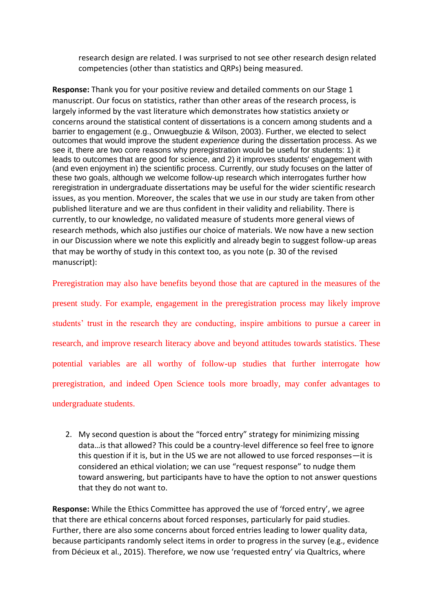research design are related. I was surprised to not see other research design related competencies (other than statistics and QRPs) being measured.

**Response:** Thank you for your positive review and detailed comments on our Stage 1 manuscript. Our focus on statistics, rather than other areas of the research process, is largely informed by the vast literature which demonstrates how statistics anxiety or concerns around the statistical content of dissertations is a concern among students and a barrier to engagement (e.g., Onwuegbuzie & Wilson, 2003). Further, we elected to select outcomes that would improve the student *experience* during the dissertation process. As we see it, there are two core reasons why preregistration would be useful for students: 1) it leads to outcomes that are good for science, and 2) it improves students' engagement with (and even enjoyment in) the scientific process. Currently, our study focuses on the latter of these two goals, although we welcome follow-up research which interrogates further how reregistration in undergraduate dissertations may be useful for the wider scientific research issues, as you mention. Moreover, the scales that we use in our study are taken from other published literature and we are thus confident in their validity and reliability. There is currently, to our knowledge, no validated measure of students more general views of research methods, which also justifies our choice of materials. We now have a new section in our Discussion where we note this explicitly and already begin to suggest follow-up areas that may be worthy of study in this context too, as you note (p. 30 of the revised manuscript):

Preregistration may also have benefits beyond those that are captured in the measures of the present study. For example, engagement in the preregistration process may likely improve students' trust in the research they are conducting, inspire ambitions to pursue a career in research, and improve research literacy above and beyond attitudes towards statistics. These potential variables are all worthy of follow-up studies that further interrogate how preregistration, and indeed Open Science tools more broadly, may confer advantages to undergraduate students.

2. My second question is about the "forced entry" strategy for minimizing missing data…is that allowed? This could be a country-level difference so feel free to ignore this question if it is, but in the US we are not allowed to use forced responses—it is considered an ethical violation; we can use "request response" to nudge them toward answering, but participants have to have the option to not answer questions that they do not want to.

**Response:** While the Ethics Committee has approved the use of 'forced entry', we agree that there are ethical concerns about forced responses, particularly for paid studies. Further, there are also some concerns about forced entries leading to lower quality data, because participants randomly select items in order to progress in the survey (e.g., evidence from Décieux et al., 2015). Therefore, we now use 'requested entry' via Qualtrics, where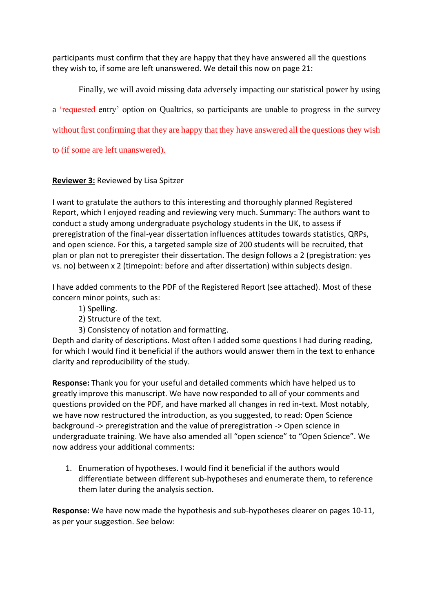participants must confirm that they are happy that they have answered all the questions they wish to, if some are left unanswered. We detail this now on page 21:

Finally, we will avoid missing data adversely impacting our statistical power by using a 'requested entry' option on Qualtrics, so participants are unable to progress in the survey

without first confirming that they are happy that they have answered all the questions they wish

to (if some are left unanswered).

# **Reviewer 3:** Reviewed by Lisa Spitzer

I want to gratulate the authors to this interesting and thoroughly planned Registered Report, which I enjoyed reading and reviewing very much. Summary: The authors want to conduct a study among undergraduate psychology students in the UK, to assess if preregistration of the final-year dissertation influences attitudes towards statistics, QRPs, and open science. For this, a targeted sample size of 200 students will be recruited, that plan or plan not to preregister their dissertation. The design follows a 2 (pregistration: yes vs. no) between x 2 (timepoint: before and after dissertation) within subjects design.

I have added comments to the PDF of the Registered Report (see attached). Most of these concern minor points, such as:

- 1) Spelling.
- 2) Structure of the text.
- 3) Consistency of notation and formatting.

Depth and clarity of descriptions. Most often I added some questions I had during reading, for which I would find it beneficial if the authors would answer them in the text to enhance clarity and reproducibility of the study.

**Response:** Thank you for your useful and detailed comments which have helped us to greatly improve this manuscript. We have now responded to all of your comments and questions provided on the PDF, and have marked all changes in red in-text. Most notably, we have now restructured the introduction, as you suggested, to read: Open Science background -> preregistration and the value of preregistration -> Open science in undergraduate training. We have also amended all "open science" to "Open Science". We now address your additional comments:

1. Enumeration of hypotheses. I would find it beneficial if the authors would differentiate between different sub-hypotheses and enumerate them, to reference them later during the analysis section.

**Response:** We have now made the hypothesis and sub-hypotheses clearer on pages 10-11, as per your suggestion. See below: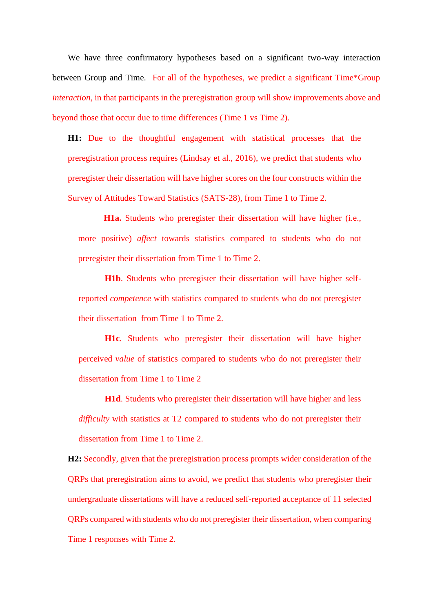We have three confirmatory hypotheses based on a significant two-way interaction between Group and Time. For all of the hypotheses, we predict a significant Time\*Group *interaction*, in that participants in the preregistration group will show improvements above and beyond those that occur due to time differences (Time 1 vs Time 2).

**H1:** Due to the thoughtful engagement with statistical processes that the preregistration process requires (Lindsay et al., 2016), we predict that students who preregister their dissertation will have higher scores on the four constructs within the Survey of Attitudes Toward Statistics (SATS-28), from Time 1 to Time 2.

**H1a.** Students who preregister their dissertation will have higher (i.e., more positive) *affect* towards statistics compared to students who do not preregister their dissertation from Time 1 to Time 2.

**H1b**. Students who preregister their dissertation will have higher selfreported *competence* with statistics compared to students who do not preregister their dissertation from Time 1 to Time 2.

**H1c**. Students who preregister their dissertation will have higher perceived *value* of statistics compared to students who do not preregister their dissertation from Time 1 to Time 2

**H1d**. Students who preregister their dissertation will have higher and less *difficulty* with statistics at T2 compared to students who do not preregister their dissertation from Time 1 to Time 2.

**H2:** Secondly, given that the preregistration process prompts wider consideration of the QRPs that preregistration aims to avoid, we predict that students who preregister their undergraduate dissertations will have a reduced self-reported acceptance of 11 selected QRPs compared with students who do not preregister their dissertation, when comparing Time 1 responses with Time 2.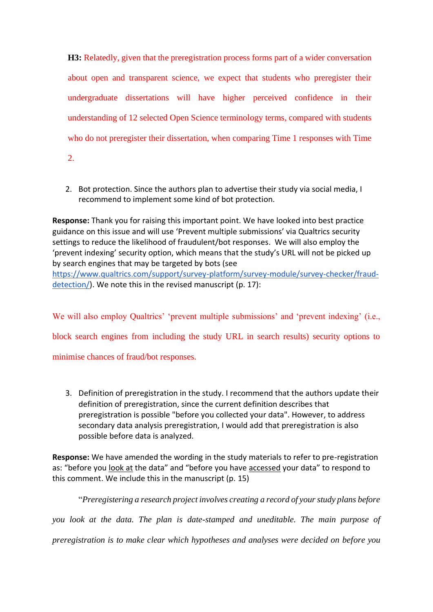**H3:** Relatedly, given that the preregistration process forms part of a wider conversation about open and transparent science, we expect that students who preregister their undergraduate dissertations will have higher perceived confidence in their understanding of 12 selected Open Science terminology terms, compared with students who do not preregister their dissertation, when comparing Time 1 responses with Time 2.

2. Bot protection. Since the authors plan to advertise their study via social media, I recommend to implement some kind of bot protection.

**Response:** Thank you for raising this important point. We have looked into best practice guidance on this issue and will use 'Prevent multiple submissions' via Qualtrics security settings to reduce the likelihood of fraudulent/bot responses. We will also employ the 'prevent indexing' security option, which means that the study's URL will not be picked up by search engines that may be targeted by bots (see [https://www.qualtrics.com/support/survey-platform/survey-module/survey-checker/fraud](https://www.qualtrics.com/support/survey-platform/survey-module/survey-checker/fraud-detection/)[detection/\)](https://www.qualtrics.com/support/survey-platform/survey-module/survey-checker/fraud-detection/). We note this in the revised manuscript (p. 17):

We will also employ Qualtrics' 'prevent multiple submissions' and 'prevent indexing' (i.e., block search engines from including the study URL in search results) security options to minimise chances of fraud/bot responses.

3. Definition of preregistration in the study. I recommend that the authors update their definition of preregistration, since the current definition describes that preregistration is possible "before you collected your data". However, to address secondary data analysis preregistration, I would add that preregistration is also possible before data is analyzed.

**Response:** We have amended the wording in the study materials to refer to pre-registration as: "before you look at the data" and "before you have accessed your data" to respond to this comment. We include this in the manuscript (p. 15)

"*Preregistering a research project involves creating a record of your study plans before* 

*you look at the data. The plan is date-stamped and uneditable. The main purpose of* 

*preregistration is to make clear which hypotheses and analyses were decided on before you*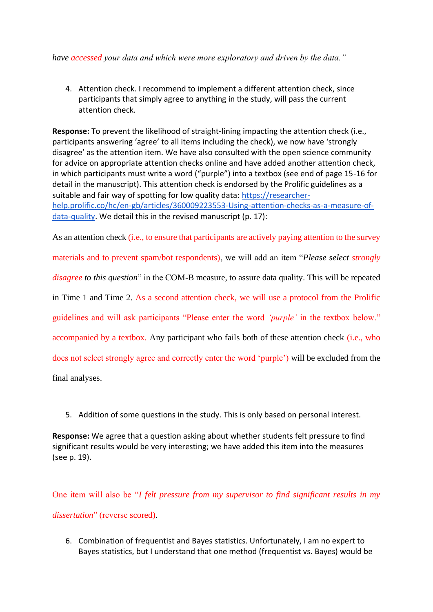*have accessed your data and which were more exploratory and driven by the data."*

4. Attention check. I recommend to implement a different attention check, since participants that simply agree to anything in the study, will pass the current attention check.

**Response:** To prevent the likelihood of straight-lining impacting the attention check (i.e., participants answering 'agree' to all items including the check), we now have 'strongly disagree' as the attention item. We have also consulted with the open science community for advice on appropriate attention checks online and have added another attention check, in which participants must write a word ("purple") into a textbox (see end of page 15-16 for detail in the manuscript). This attention check is endorsed by the Prolific guidelines as a suitable and fair way of spotting for low quality data: [https://researcher](https://researcher-help.prolific.co/hc/en-gb/articles/360009223553-Using-attention-checks-as-a-measure-of-data-quality)[help.prolific.co/hc/en-gb/articles/360009223553-Using-attention-checks-as-a-measure-of](https://researcher-help.prolific.co/hc/en-gb/articles/360009223553-Using-attention-checks-as-a-measure-of-data-quality)[data-quality.](https://researcher-help.prolific.co/hc/en-gb/articles/360009223553-Using-attention-checks-as-a-measure-of-data-quality) We detail this in the revised manuscript (p. 17):

As an attention check (i.e., to ensure that participants are actively paying attention to the survey materials and to prevent spam/bot respondents), we will add an item "*Please select strongly disagree to this question*" in the COM-B measure, to assure data quality. This will be repeated in Time 1 and Time 2. As a second attention check, we will use a protocol from the Prolific guidelines and will ask participants "Please enter the word *'purple'* in the textbox below." accompanied by a textbox. Any participant who fails both of these attention check (i.e., who does not select strongly agree and correctly enter the word 'purple') will be excluded from the final analyses.

5. Addition of some questions in the study. This is only based on personal interest.

**Response:** We agree that a question asking about whether students felt pressure to find significant results would be very interesting; we have added this item into the measures (see p. 19).

One item will also be "*I felt pressure from my supervisor to find significant results in my dissertation*" (reverse scored).

6. Combination of frequentist and Bayes statistics. Unfortunately, I am no expert to Bayes statistics, but I understand that one method (frequentist vs. Bayes) would be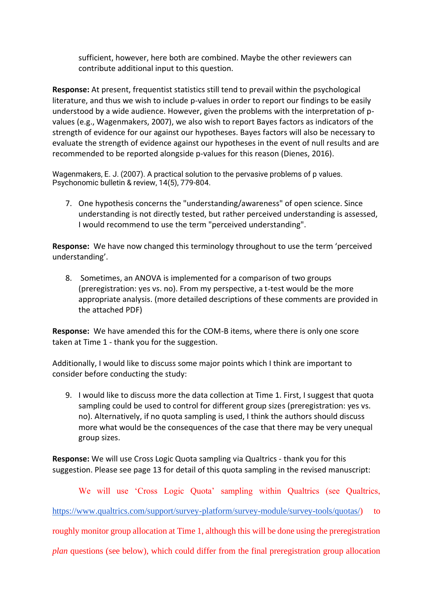sufficient, however, here both are combined. Maybe the other reviewers can contribute additional input to this question.

**Response:** At present, frequentist statistics still tend to prevail within the psychological literature, and thus we wish to include p-values in order to report our findings to be easily understood by a wide audience. However, given the problems with the interpretation of pvalues (e.g., Wagenmakers, 2007), we also wish to report Bayes factors as indicators of the strength of evidence for our against our hypotheses. Bayes factors will also be necessary to evaluate the strength of evidence against our hypotheses in the event of null results and are recommended to be reported alongside p-values for this reason (Dienes, 2016).

Wagenmakers, E. J. (2007). A practical solution to the pervasive problems of p values. Psychonomic bulletin & review, 14(5), 779-804.

7. One hypothesis concerns the "understanding/awareness" of open science. Since understanding is not directly tested, but rather perceived understanding is assessed, I would recommend to use the term "perceived understanding".

**Response:** We have now changed this terminology throughout to use the term 'perceived understanding'.

8. Sometimes, an ANOVA is implemented for a comparison of two groups (preregistration: yes vs. no). From my perspective, a t-test would be the more appropriate analysis. (more detailed descriptions of these comments are provided in the attached PDF)

**Response:** We have amended this for the COM-B items, where there is only one score taken at Time 1 - thank you for the suggestion.

Additionally, I would like to discuss some major points which I think are important to consider before conducting the study:

9. I would like to discuss more the data collection at Time 1. First, I suggest that quota sampling could be used to control for different group sizes (preregistration: yes vs. no). Alternatively, if no quota sampling is used, I think the authors should discuss more what would be the consequences of the case that there may be very unequal group sizes.

**Response:** We will use Cross Logic Quota sampling via Qualtrics - thank you for this suggestion. Please see page 13 for detail of this quota sampling in the revised manuscript:

We will use 'Cross Logic Quota' sampling within Qualtrics (see Qualtrics, [https://www.qualtrics.com/support/survey-platform/survey-module/survey-tools/quotas/\)](https://www.qualtrics.com/support/survey-platform/survey-module/survey-tools/quotas/) to roughly monitor group allocation at Time 1, although this will be done using the preregistration *plan* questions (see below), which could differ from the final preregistration group allocation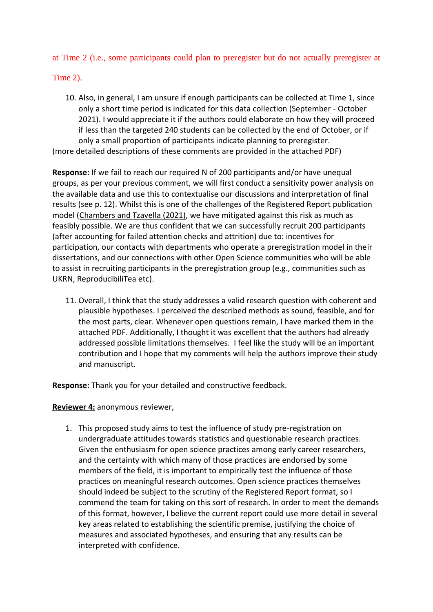at Time 2 (i.e., some participants could plan to preregister but do not actually preregister at

Time 2).

10. Also, in general, I am unsure if enough participants can be collected at Time 1, since only a short time period is indicated for this data collection (September - October 2021). I would appreciate it if the authors could elaborate on how they will proceed if less than the targeted 240 students can be collected by the end of October, or if only a small proportion of participants indicate planning to preregister.

(more detailed descriptions of these comments are provided in the attached PDF)

**Response:** If we fail to reach our required N of 200 participants and/or have unequal groups, as per your previous comment, we will first conduct a sensitivity power analysis on the available data and use this to contextualise our discussions and interpretation of final results (see p. 12). Whilst this is one of the challenges of the Registered Report publication model [\(Chambers and Tzavella \(2021\),](https://osf.io/preprints/metaarxiv/43298/) we have mitigated against this risk as much as feasibly possible. We are thus confident that we can successfully recruit 200 participants (after accounting for failed attention checks and attrition) due to: incentives for participation, our contacts with departments who operate a preregistration model in their dissertations, and our connections with other Open Science communities who will be able to assist in recruiting participants in the preregistration group (e.g., communities such as UKRN, ReproducibiliTea etc).

11. Overall, I think that the study addresses a valid research question with coherent and plausible hypotheses. I perceived the described methods as sound, feasible, and for the most parts, clear. Whenever open questions remain, I have marked them in the attached PDF. Additionally, I thought it was excellent that the authors had already addressed possible limitations themselves. I feel like the study will be an important contribution and I hope that my comments will help the authors improve their study and manuscript.

**Response:** Thank you for your detailed and constructive feedback.

**Reviewer 4:** anonymous reviewer,

1. This proposed study aims to test the influence of study pre-registration on undergraduate attitudes towards statistics and questionable research practices. Given the enthusiasm for open science practices among early career researchers, and the certainty with which many of those practices are endorsed by some members of the field, it is important to empirically test the influence of those practices on meaningful research outcomes. Open science practices themselves should indeed be subject to the scrutiny of the Registered Report format, so I commend the team for taking on this sort of research. In order to meet the demands of this format, however, I believe the current report could use more detail in several key areas related to establishing the scientific premise, justifying the choice of measures and associated hypotheses, and ensuring that any results can be interpreted with confidence.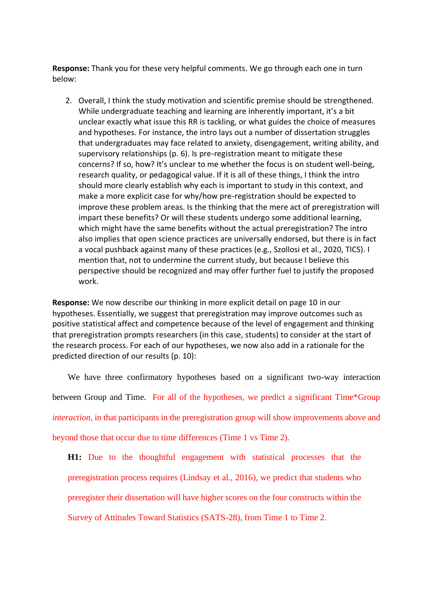**Response:** Thank you for these very helpful comments. We go through each one in turn below:

2. Overall, I think the study motivation and scientific premise should be strengthened. While undergraduate teaching and learning are inherently important, it's a bit unclear exactly what issue this RR is tackling, or what guides the choice of measures and hypotheses. For instance, the intro lays out a number of dissertation struggles that undergraduates may face related to anxiety, disengagement, writing ability, and supervisory relationships (p. 6). Is pre-registration meant to mitigate these concerns? If so, how? It's unclear to me whether the focus is on student well-being, research quality, or pedagogical value. If it is all of these things, I think the intro should more clearly establish why each is important to study in this context, and make a more explicit case for why/how pre-registration should be expected to improve these problem areas. Is the thinking that the mere act of preregistration will impart these benefits? Or will these students undergo some additional learning, which might have the same benefits without the actual preregistration? The intro also implies that open science practices are universally endorsed, but there is in fact a vocal pushback against many of these practices (e.g., Szollosi et al., 2020, TICS). I mention that, not to undermine the current study, but because I believe this perspective should be recognized and may offer further fuel to justify the proposed work.

**Response:** We now describe our thinking in more explicit detail on page 10 in our hypotheses. Essentially, we suggest that preregistration may improve outcomes such as positive statistical affect and competence because of the level of engagement and thinking that preregistration prompts researchers (in this case, students) to consider at the start of the research process. For each of our hypotheses, we now also add in a rationale for the predicted direction of our results (p. 10):

We have three confirmatory hypotheses based on a significant two-way interaction between Group and Time. For all of the hypotheses, we predict a significant Time\*Group *interaction*, in that participants in the preregistration group will show improvements above and beyond those that occur due to time differences (Time 1 vs Time 2).

**H1:** Due to the thoughtful engagement with statistical processes that the preregistration process requires (Lindsay et al., 2016), we predict that students who preregister their dissertation will have higher scores on the four constructs within the Survey of Attitudes Toward Statistics (SATS-28), from Time 1 to Time 2.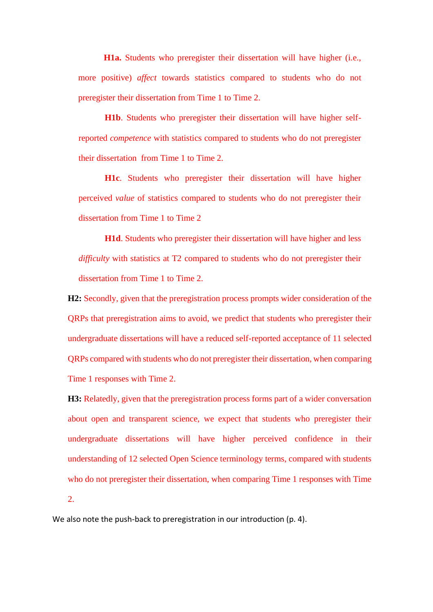**H1a.** Students who preregister their dissertation will have higher (i.e., more positive) *affect* towards statistics compared to students who do not preregister their dissertation from Time 1 to Time 2.

**H1b**. Students who preregister their dissertation will have higher selfreported *competence* with statistics compared to students who do not preregister their dissertation from Time 1 to Time 2.

**H1c**. Students who preregister their dissertation will have higher perceived *value* of statistics compared to students who do not preregister their dissertation from Time 1 to Time 2

**H1d**. Students who preregister their dissertation will have higher and less *difficulty* with statistics at T2 compared to students who do not preregister their dissertation from Time 1 to Time 2.

**H2:** Secondly, given that the preregistration process prompts wider consideration of the QRPs that preregistration aims to avoid, we predict that students who preregister their undergraduate dissertations will have a reduced self-reported acceptance of 11 selected QRPs compared with students who do not preregister their dissertation, when comparing Time 1 responses with Time 2.

**H3:** Relatedly, given that the preregistration process forms part of a wider conversation about open and transparent science, we expect that students who preregister their undergraduate dissertations will have higher perceived confidence in their understanding of 12 selected Open Science terminology terms, compared with students who do not preregister their dissertation, when comparing Time 1 responses with Time 2.

We also note the push-back to preregistration in our introduction (p. 4).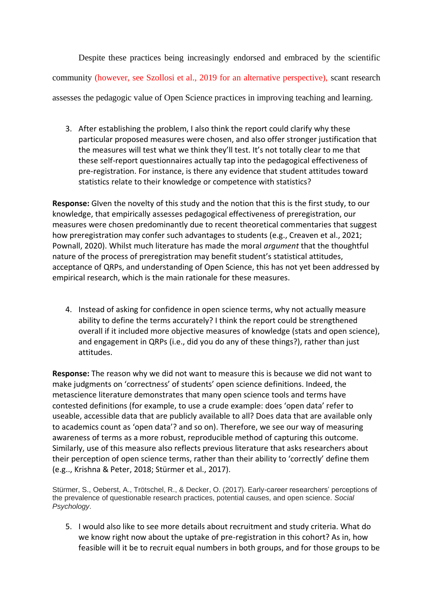Despite these practices being increasingly endorsed and embraced by the scientific community (however, see Szollosi et al., 2019 for an alternative perspective), scant research assesses the pedagogic value of Open Science practices in improving teaching and learning.

3. After establishing the problem, I also think the report could clarify why these particular proposed measures were chosen, and also offer stronger justification that the measures will test what we think they'll test. It's not totally clear to me that these self-report questionnaires actually tap into the pedagogical effectiveness of pre-registration. For instance, is there any evidence that student attitudes toward statistics relate to their knowledge or competence with statistics?

**Response:** GIven the novelty of this study and the notion that this is the first study, to our knowledge, that empirically assesses pedagogical effectiveness of preregistration, our measures were chosen predominantly due to recent theoretical commentaries that suggest how preregistration may confer such advantages to students (e.g., Creaven et al., 2021; Pownall, 2020). Whilst much literature has made the moral *argument* that the thoughtful nature of the process of preregistration may benefit student's statistical attitudes, acceptance of QRPs, and understanding of Open Science, this has not yet been addressed by empirical research, which is the main rationale for these measures.

4. Instead of asking for confidence in open science terms, why not actually measure ability to define the terms accurately? I think the report could be strengthened overall if it included more objective measures of knowledge (stats and open science), and engagement in QRPs (i.e., did you do any of these things?), rather than just attitudes.

**Response:** The reason why we did not want to measure this is because we did not want to make judgments on 'correctness' of students' open science definitions. Indeed, the metascience literature demonstrates that many open science tools and terms have contested definitions (for example, to use a crude example: does 'open data' refer to useable, accessible data that are publicly available to all? Does data that are available only to academics count as 'open data'? and so on). Therefore, we see our way of measuring awareness of terms as a more robust, reproducible method of capturing this outcome. Similarly, use of this measure also reflects previous literature that asks researchers about their perception of open science terms, rather than their ability to 'correctly' define them (e.g.., Krishna & Peter, 2018; Stürmer et al., 2017).

Stürmer, S., Oeberst, A., Trötschel, R., & Decker, O. (2017). Early-career researchers' perceptions of the prevalence of questionable research practices, potential causes, and open science. *Social Psychology*.

5. I would also like to see more details about recruitment and study criteria. What do we know right now about the uptake of pre-registration in this cohort? As in, how feasible will it be to recruit equal numbers in both groups, and for those groups to be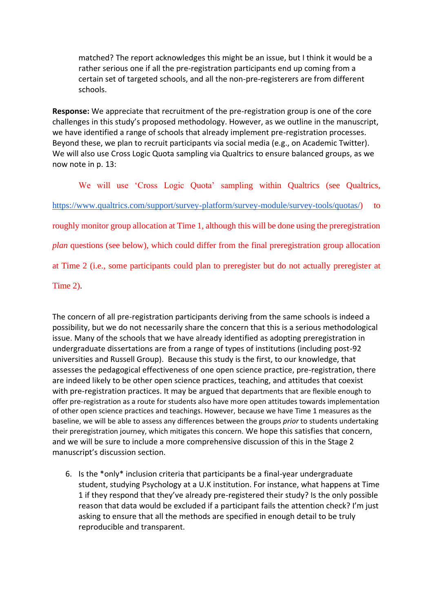matched? The report acknowledges this might be an issue, but I think it would be a rather serious one if all the pre-registration participants end up coming from a certain set of targeted schools, and all the non-pre-registerers are from different schools.

**Response:** We appreciate that recruitment of the pre-registration group is one of the core challenges in this study's proposed methodology. However, as we outline in the manuscript, we have identified a range of schools that already implement pre-registration processes. Beyond these, we plan to recruit participants via social media (e.g., on Academic Twitter). We will also use Cross Logic Quota sampling via Qualtrics to ensure balanced groups, as we now note in p. 13:

We will use 'Cross Logic Quota' sampling within Qualtrics (see Qualtrics, [https://www.qualtrics.com/support/survey-platform/survey-module/survey-tools/quotas/\)](https://www.qualtrics.com/support/survey-platform/survey-module/survey-tools/quotas/) to roughly monitor group allocation at Time 1, although this will be done using the preregistration *plan* questions (see below), which could differ from the final preregistration group allocation at Time 2 (i.e., some participants could plan to preregister but do not actually preregister at

Time 2).

The concern of all pre-registration participants deriving from the same schools is indeed a possibility, but we do not necessarily share the concern that this is a serious methodological issue. Many of the schools that we have already identified as adopting preregistration in undergraduate dissertations are from a range of types of institutions (including post-92 universities and Russell Group). Because this study is the first, to our knowledge, that assesses the pedagogical effectiveness of one open science practice, pre-registration, there are indeed likely to be other open science practices, teaching, and attitudes that coexist with pre-registration practices. It may be argued that departments that are flexible enough to offer pre-registration as a route for students also have more open attitudes towards implementation of other open science practices and teachings. However, because we have Time 1 measures as the baseline, we will be able to assess any differences between the groups *prior* to students undertaking their preregistration journey, which mitigates this concern. We hope this satisfies that concern, and we will be sure to include a more comprehensive discussion of this in the Stage 2 manuscript's discussion section.

6. Is the \*only\* inclusion criteria that participants be a final-year undergraduate student, studying Psychology at a U.K institution. For instance, what happens at Time 1 if they respond that they've already pre-registered their study? Is the only possible reason that data would be excluded if a participant fails the attention check? I'm just asking to ensure that all the methods are specified in enough detail to be truly reproducible and transparent.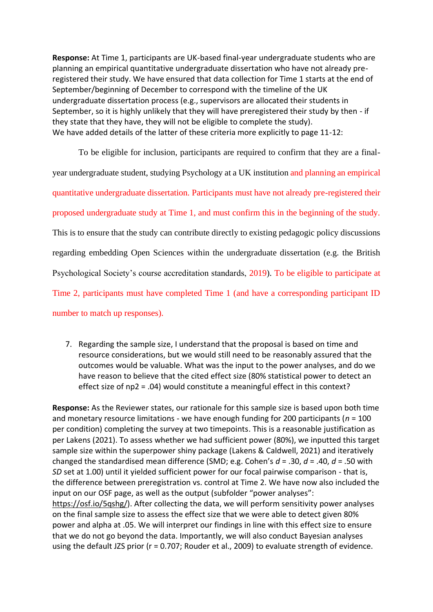**Response:** At Time 1, participants are UK-based final-year undergraduate students who are planning an empirical quantitative undergraduate dissertation who have not already preregistered their study. We have ensured that data collection for Time 1 starts at the end of September/beginning of December to correspond with the timeline of the UK undergraduate dissertation process (e.g., supervisors are allocated their students in September, so it is highly unlikely that they will have preregistered their study by then - if they state that they have, they will not be eligible to complete the study). We have added details of the latter of these criteria more explicitly to page 11-12:

To be eligible for inclusion, participants are required to confirm that they are a finalyear undergraduate student, studying Psychology at a UK institution and planning an empirical quantitative undergraduate dissertation. Participants must have not already pre-registered their proposed undergraduate study at Time 1, and must confirm this in the beginning of the study. This is to ensure that the study can contribute directly to existing pedagogic policy discussions regarding embedding Open Sciences within the undergraduate dissertation (e.g. the British Psychological Society's course accreditation standards, 2019). To be eligible to participate at Time 2, participants must have completed Time 1 (and have a corresponding participant ID number to match up responses).

7. Regarding the sample size, I understand that the proposal is based on time and resource considerations, but we would still need to be reasonably assured that the outcomes would be valuable. What was the input to the power analyses, and do we have reason to believe that the cited effect size (80% statistical power to detect an effect size of np2 = .04) would constitute a meaningful effect in this context?

**Response:** As the Reviewer states, our rationale for this sample size is based upon both time and monetary resource limitations - we have enough funding for 200 participants (*n* = 100 per condition) completing the survey at two timepoints. This is a reasonable justification as per Lakens (2021). To assess whether we had sufficient power (80%), we inputted this target sample size within the superpower shiny package (Lakens & Caldwell, 2021) and iteratively changed the standardised mean difference (SMD; e.g. Cohen's *d* = .30, *d* = .40, *d* = .50 with *SD* set at 1.00) until it yielded sufficient power for our focal pairwise comparison - that is, the difference between preregistration vs. control at Time 2. We have now also included the input on our OSF page, as well as the output (subfolder "power analyses": [https://osf.io/5qshg/\)](https://osf.io/5qshg/). After collecting the data, we will perform sensitivity power analyses on the final sample size to assess the effect size that we were able to detect given 80% power and alpha at .05. We will interpret our findings in line with this effect size to ensure that we do not go beyond the data. Importantly, we will also conduct Bayesian analyses using the default JZS prior (r = 0.707; Rouder et al., 2009) to evaluate strength of evidence.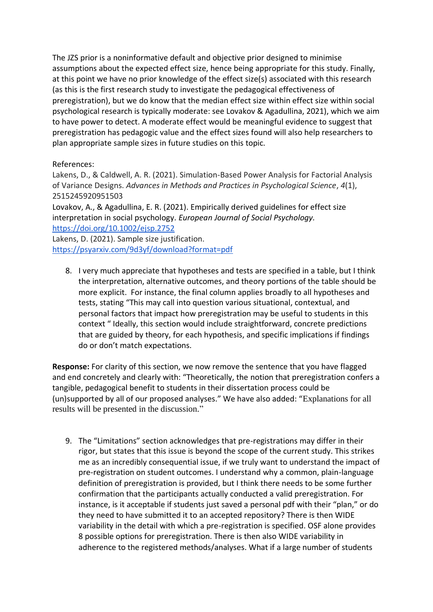The JZS prior is a noninformative default and objective prior designed to minimise assumptions about the expected effect size, hence being appropriate for this study. Finally, at this point we have no prior knowledge of the effect size(s) associated with this research (as this is the first research study to investigate the pedagogical effectiveness of preregistration), but we do know that the median effect size within effect size within social psychological research is typically moderate: see Lovakov & Agadullina, 2021), which we aim to have power to detect. A moderate effect would be meaningful evidence to suggest that preregistration has pedagogic value and the effect sizes found will also help researchers to plan appropriate sample sizes in future studies on this topic.

### References:

Lakens, D., & Caldwell, A. R. (2021). Simulation-Based Power Analysis for Factorial Analysis of Variance Designs. *Advances in Methods and Practices in Psychological Science*, *4*(1), 2515245920951503

Lovakov, A., & Agadullina, E. R. (2021). Empirically derived guidelines for effect size interpretation in social psychology. *European Journal of Social Psychology.*  <https://doi.org/10.1002/ejsp.2752>

Lakens, D. (2021). Sample size justification. <https://psyarxiv.com/9d3yf/download?format=pdf>

8. I very much appreciate that hypotheses and tests are specified in a table, but I think the interpretation, alternative outcomes, and theory portions of the table should be more explicit. For instance, the final column applies broadly to all hypotheses and tests, stating "This may call into question various situational, contextual, and personal factors that impact how preregistration may be useful to students in this context " Ideally, this section would include straightforward, concrete predictions that are guided by theory, for each hypothesis, and specific implications if findings do or don't match expectations.

**Response:** For clarity of this section, we now remove the sentence that you have flagged and end concretely and clearly with: "Theoretically, the notion that preregistration confers a tangible, pedagogical benefit to students in their dissertation process could be (un)supported by all of our proposed analyses." We have also added: "Explanations for all results will be presented in the discussion."

9. The "Limitations" section acknowledges that pre-registrations may differ in their rigor, but states that this issue is beyond the scope of the current study. This strikes me as an incredibly consequential issue, if we truly want to understand the impact of pre-registration on student outcomes. I understand why a common, plain-language definition of preregistration is provided, but I think there needs to be some further confirmation that the participants actually conducted a valid preregistration. For instance, is it acceptable if students just saved a personal pdf with their "plan," or do they need to have submitted it to an accepted repository? There is then WIDE variability in the detail with which a pre-registration is specified. OSF alone provides 8 possible options for preregistration. There is then also WIDE variability in adherence to the registered methods/analyses. What if a large number of students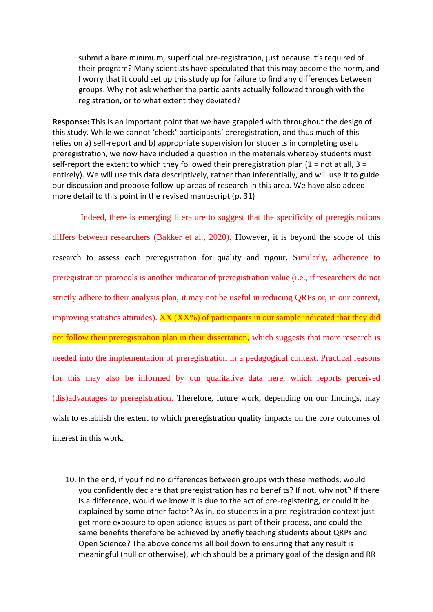submit a bare minimum, superficial pre-registration, just because it's required of their program? Many scientists have speculated that this may become the norm, and I worry that it could set up this study up for failure to find any differences between groups. Why not ask whether the participants actually followed through with the registration, or to what extent they deviated?

**Response:** This is an important point that we have grappled with throughout the design of this study. While we cannot 'check' participants' preregistration, and thus much of this relies on a) self-report and b) appropriate supervision for students in completing useful preregistration, we now have included a question in the materials whereby students must self-report the extent to which they followed their preregistration plan  $(1 = not at all, 3 =$ entirely). We will use this data descriptively, rather than inferentially, and will use it to guide our discussion and propose follow-up areas of research in this area. We have also added more detail to this point in the revised manuscript (p. 31)

Indeed, there is emerging literature to suggest that the specificity of preregistrations

differs between researchers (Bakker et al., 2020). However, it is beyond the scope of this research to assess each preregistration for quality and rigour. Similarly, adherence to preregistration protocols is another indicator of preregistration value (i.e., if researchers do not strictly adhere to their analysis plan, it may not be useful in reducing QRPs or, in our context, improving statistics attitudes). XX (XX%) of participants in our sample indicated that they did not follow their preregistration plan in their dissertation, which suggests that more research is needed into the implementation of preregistration in a pedagogical context. Practical reasons for this may also be informed by our qualitative data here, which reports perceived (dis)advantages to preregistration. Therefore, future work, depending on our findings, may wish to establish the extent to which preregistration quality impacts on the core outcomes of interest in this work.

10. In the end, if you find no differences between groups with these methods, would you confidently declare that preregistration has no benefits? If not, why not? If there is a difference, would we know it is due to the act of pre-registering, or could it be explained by some other factor? As in, do students in a pre-registration context just get more exposure to open science issues as part of their process, and could the same benefits therefore be achieved by briefly teaching students about QRPs and Open Science? The above concerns all boil down to ensuring that any result is meaningful (null or otherwise), which should be a primary goal of the design and RR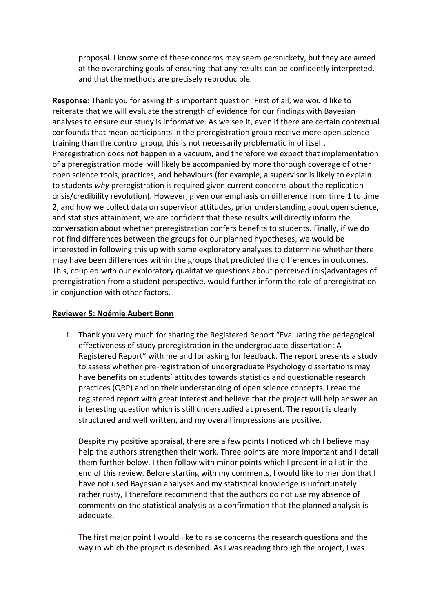proposal. I know some of these concerns may seem persnickety, but they are aimed at the overarching goals of ensuring that any results can be confidently interpreted, and that the methods are precisely reproducible.

**Response:** Thank you for asking this important question. First of all, we would like to reiterate that we will evaluate the strength of evidence for our findings with Bayesian analyses to ensure our study is informative. As we see it, even if there are certain contextual confounds that mean participants in the preregistration group receive more open science training than the control group, this is not necessarily problematic in of itself. Preregistration does not happen in a vacuum, and therefore we expect that implementation of a preregistration model will likely be accompanied by more thorough coverage of other open science tools, practices, and behaviours (for example, a supervisor is likely to explain to students *why* preregistration is required given current concerns about the replication crisis/credibility revolution). However, given our emphasis on difference from time 1 to time 2, and how we collect data on supervisor attitudes, prior understanding about open science, and statistics attainment, we are confident that these results will directly inform the conversation about whether preregistration confers benefits to students. Finally, if we do not find differences between the groups for our planned hypotheses, we would be interested in following this up with some exploratory analyses to determine whether there may have been differences within the groups that predicted the differences in outcomes. This, coupled with our exploratory qualitative questions about perceived (dis)advantages of preregistration from a student perspective, would further inform the role of preregistration in conjunction with other factors.

### **Reviewer 5: Noémie Aubert Bonn**

1. Thank you very much for sharing the Registered Report "Evaluating the pedagogical effectiveness of study preregistration in the undergraduate dissertation: A Registered Report" with me and for asking for feedback. The report presents a study to assess whether pre-registration of undergraduate Psychology dissertations may have benefits on students' attitudes towards statistics and questionable research practices (QRP) and on their understanding of open science concepts. I read the registered report with great interest and believe that the project will help answer an interesting question which is still understudied at present. The report is clearly structured and well written, and my overall impressions are positive.

Despite my positive appraisal, there are a few points I noticed which I believe may help the authors strengthen their work. Three points are more important and I detail them further below. I then follow with minor points which I present in a list in the end of this review. Before starting with my comments, I would like to mention that I have not used Bayesian analyses and my statistical knowledge is unfortunately rather rusty, I therefore recommend that the authors do not use my absence of comments on the statistical analysis as a confirmation that the planned analysis is adequate.

The first major point I would like to raise concerns the research questions and the way in which the project is described. As I was reading through the project, I was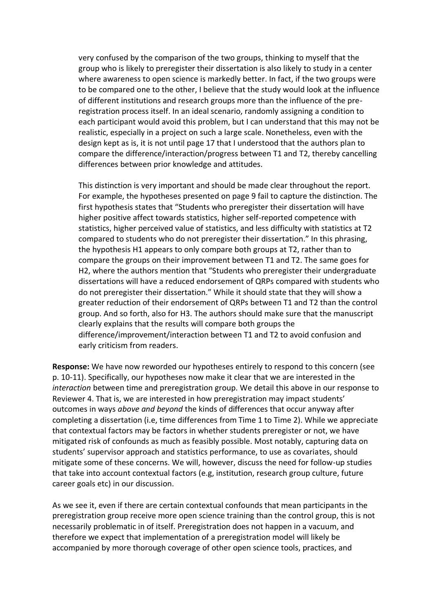very confused by the comparison of the two groups, thinking to myself that the group who is likely to preregister their dissertation is also likely to study in a center where awareness to open science is markedly better. In fact, if the two groups were to be compared one to the other, I believe that the study would look at the influence of different institutions and research groups more than the influence of the preregistration process itself. In an ideal scenario, randomly assigning a condition to each participant would avoid this problem, but I can understand that this may not be realistic, especially in a project on such a large scale. Nonetheless, even with the design kept as is, it is not until page 17 that I understood that the authors plan to compare the difference/interaction/progress between T1 and T2, thereby cancelling differences between prior knowledge and attitudes.

This distinction is very important and should be made clear throughout the report. For example, the hypotheses presented on page 9 fail to capture the distinction. The first hypothesis states that "Students who preregister their dissertation will have higher positive affect towards statistics, higher self-reported competence with statistics, higher perceived value of statistics, and less difficulty with statistics at T2 compared to students who do not preregister their dissertation." In this phrasing, the hypothesis H1 appears to only compare both groups at T2, rather than to compare the groups on their improvement between T1 and T2. The same goes for H2, where the authors mention that "Students who preregister their undergraduate dissertations will have a reduced endorsement of QRPs compared with students who do not preregister their dissertation." While it should state that they will show a greater reduction of their endorsement of QRPs between T1 and T2 than the control group. And so forth, also for H3. The authors should make sure that the manuscript clearly explains that the results will compare both groups the difference/improvement/interaction between T1 and T2 to avoid confusion and early criticism from readers.

**Response:** We have now reworded our hypotheses entirely to respond to this concern (see p. 10-11). Specifically, our hypotheses now make it clear that we are interested in the *interaction* between time and preregistration group. We detail this above in our response to Reviewer 4. That is, we are interested in how preregistration may impact students' outcomes in ways *above and beyond* the kinds of differences that occur anyway after completing a dissertation (i.e, time differences from Time 1 to Time 2). While we appreciate that contextual factors may be factors in whether students preregister or not, we have mitigated risk of confounds as much as feasibly possible. Most notably, capturing data on students' supervisor approach and statistics performance, to use as covariates, should mitigate some of these concerns. We will, however, discuss the need for follow-up studies that take into account contextual factors (e.g, institution, research group culture, future career goals etc) in our discussion.

As we see it, even if there are certain contextual confounds that mean participants in the preregistration group receive more open science training than the control group, this is not necessarily problematic in of itself. Preregistration does not happen in a vacuum, and therefore we expect that implementation of a preregistration model will likely be accompanied by more thorough coverage of other open science tools, practices, and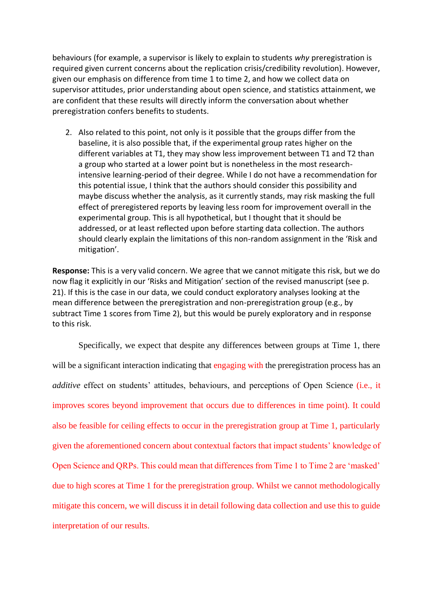behaviours (for example, a supervisor is likely to explain to students *why* preregistration is required given current concerns about the replication crisis/credibility revolution). However, given our emphasis on difference from time 1 to time 2, and how we collect data on supervisor attitudes, prior understanding about open science, and statistics attainment, we are confident that these results will directly inform the conversation about whether preregistration confers benefits to students.

2. Also related to this point, not only is it possible that the groups differ from the baseline, it is also possible that, if the experimental group rates higher on the different variables at T1, they may show less improvement between T1 and T2 than a group who started at a lower point but is nonetheless in the most researchintensive learning-period of their degree. While I do not have a recommendation for this potential issue, I think that the authors should consider this possibility and maybe discuss whether the analysis, as it currently stands, may risk masking the full effect of preregistered reports by leaving less room for improvement overall in the experimental group. This is all hypothetical, but I thought that it should be addressed, or at least reflected upon before starting data collection. The authors should clearly explain the limitations of this non-random assignment in the 'Risk and mitigation'.

**Response:** This is a very valid concern. We agree that we cannot mitigate this risk, but we do now flag it explicitly in our 'Risks and Mitigation' section of the revised manuscript (see p. 21). If this is the case in our data, we could conduct exploratory analyses looking at the mean difference between the preregistration and non-preregistration group (e.g., by subtract Time 1 scores from Time 2), but this would be purely exploratory and in response to this risk.

Specifically, we expect that despite any differences between groups at Time 1, there will be a significant interaction indicating that engaging with the preregistration process has an *additive* effect on students' attitudes, behaviours, and perceptions of Open Science (i.e., it improves scores beyond improvement that occurs due to differences in time point). It could also be feasible for ceiling effects to occur in the preregistration group at Time 1, particularly given the aforementioned concern about contextual factors that impact students' knowledge of Open Science and QRPs. This could mean that differences from Time 1 to Time 2 are 'masked' due to high scores at Time 1 for the preregistration group. Whilst we cannot methodologically mitigate this concern, we will discuss it in detail following data collection and use this to guide interpretation of our results.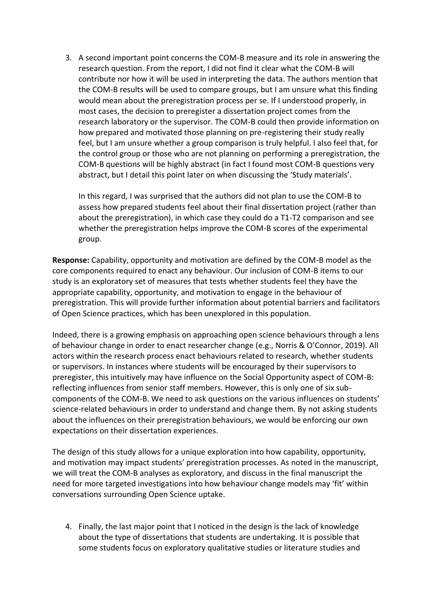3. A second important point concerns the COM-B measure and its role in answering the research question. From the report, I did not find it clear what the COM-B will contribute nor how it will be used in interpreting the data. The authors mention that the COM-B results will be used to compare groups, but I am unsure what this finding would mean about the preregistration process per se. If I understood properly, in most cases, the decision to preregister a dissertation project comes from the research laboratory or the supervisor. The COM-B could then provide information on how prepared and motivated those planning on pre-registering their study really feel, but I am unsure whether a group comparison is truly helpful. I also feel that, for the control group or those who are not planning on performing a preregistration, the COM-B questions will be highly abstract (in fact I found most COM-B questions very abstract, but I detail this point later on when discussing the 'Study materials'.

In this regard, I was surprised that the authors did not plan to use the COM-B to assess how prepared students feel about their final dissertation project (rather than about the preregistration), in which case they could do a T1-T2 comparison and see whether the preregistration helps improve the COM-B scores of the experimental group.

**Response:** Capability, opportunity and motivation are defined by the COM-B model as the core components required to enact any behaviour. Our inclusion of COM-B items to our study is an exploratory set of measures that tests whether students feel they have the appropriate capability, opportunity, and motivation to engage in the behaviour of preregistration. This will provide further information about potential barriers and facilitators of Open Science practices, which has been unexplored in this population.

Indeed, there is a growing emphasis on approaching open science behaviours through a lens of behaviour change in order to enact researcher change (e.g., Norris & O'Connor, 2019). All actors within the research process enact behaviours related to research, whether students or supervisors. In instances where students will be encouraged by their supervisors to preregister, this intuitively may have influence on the Social Opportunity aspect of COM-B: reflecting influences from senior staff members. However, this is only one of six subcomponents of the COM-B. We need to ask questions on the various influences on students' science-related behaviours in order to understand and change them. By not asking students about the influences on their preregistration behaviours, we would be enforcing our own expectations on their dissertation experiences.

The design of this study allows for a unique exploration into how capability, opportunity, and motivation may impact students' preregistration processes. As noted in the manuscript, we will treat the COM-B analyses as exploratory, and discuss in the final manuscript the need for more targeted investigations into how behaviour change models may 'fit' within conversations surrounding Open Science uptake.

4. Finally, the last major point that I noticed in the design is the lack of knowledge about the type of dissertations that students are undertaking. It is possible that some students focus on exploratory qualitative studies or literature studies and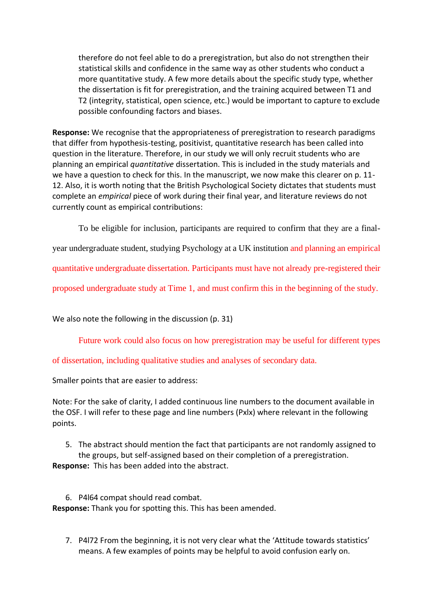therefore do not feel able to do a preregistration, but also do not strengthen their statistical skills and confidence in the same way as other students who conduct a more quantitative study. A few more details about the specific study type, whether the dissertation is fit for preregistration, and the training acquired between T1 and T2 (integrity, statistical, open science, etc.) would be important to capture to exclude possible confounding factors and biases.

**Response:** We recognise that the appropriateness of preregistration to research paradigms that differ from hypothesis-testing, positivist, quantitative research has been called into question in the literature. Therefore, in our study we will only recruit students who are planning an empirical *quantitative* dissertation. This is included in the study materials and we have a question to check for this. In the manuscript, we now make this clearer on p. 11- 12. Also, it is worth noting that the British Psychological Society dictates that students must complete an *empirical* piece of work during their final year, and literature reviews do not currently count as empirical contributions:

To be eligible for inclusion, participants are required to confirm that they are a final-

year undergraduate student, studying Psychology at a UK institution and planning an empirical

quantitative undergraduate dissertation. Participants must have not already pre-registered their

proposed undergraduate study at Time 1, and must confirm this in the beginning of the study.

We also note the following in the discussion (p. 31)

Future work could also focus on how preregistration may be useful for different types

of dissertation, including qualitative studies and analyses of secondary data.

Smaller points that are easier to address:

Note: For the sake of clarity, I added continuous line numbers to the document available in the OSF. I will refer to these page and line numbers (Pxlx) where relevant in the following points.

5. The abstract should mention the fact that participants are not randomly assigned to the groups, but self-assigned based on their completion of a preregistration.

**Response:** This has been added into the abstract.

6. P4l64 compat should read combat. **Response:** Thank you for spotting this. This has been amended.

7. P4l72 From the beginning, it is not very clear what the 'Attitude towards statistics' means. A few examples of points may be helpful to avoid confusion early on.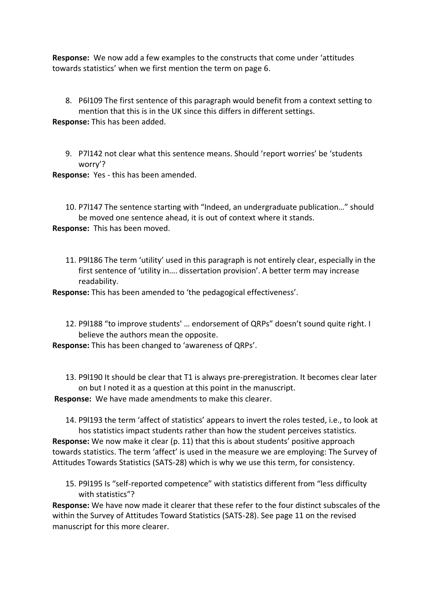**Response:** We now add a few examples to the constructs that come under 'attitudes towards statistics' when we first mention the term on page 6.

8. P6l109 The first sentence of this paragraph would benefit from a context setting to mention that this is in the UK since this differs in different settings. **Response:** This has been added.

9. P7l142 not clear what this sentence means. Should 'report worries' be 'students worry'?

**Response:** Yes - this has been amended.

10. P7l147 The sentence starting with "Indeed, an undergraduate publication…" should be moved one sentence ahead, it is out of context where it stands. **Response:** This has been moved.

11. P9l186 The term 'utility' used in this paragraph is not entirely clear, especially in the first sentence of 'utility in…. dissertation provision'. A better term may increase readability.

**Response:** This has been amended to 'the pedagogical effectiveness'.

12. P9l188 "to improve students' … endorsement of QRPs" doesn't sound quite right. I believe the authors mean the opposite.

**Response:** This has been changed to 'awareness of QRPs'.

13. P9l190 It should be clear that T1 is always pre-preregistration. It becomes clear later on but I noted it as a question at this point in the manuscript.

**Response:** We have made amendments to make this clearer.

14. P9l193 the term 'affect of statistics' appears to invert the roles tested, i.e., to look at hos statistics impact students rather than how the student perceives statistics. **Response:** We now make it clear (p. 11) that this is about students' positive approach towards statistics. The term 'affect' is used in the measure we are employing: The Survey of Attitudes Towards Statistics (SATS-28) which is why we use this term, for consistency.

15. P9l195 Is "self-reported competence" with statistics different from "less difficulty with statistics"?

**Response:** We have now made it clearer that these refer to the four distinct subscales of the within the Survey of Attitudes Toward Statistics (SATS-28). See page 11 on the revised manuscript for this more clearer.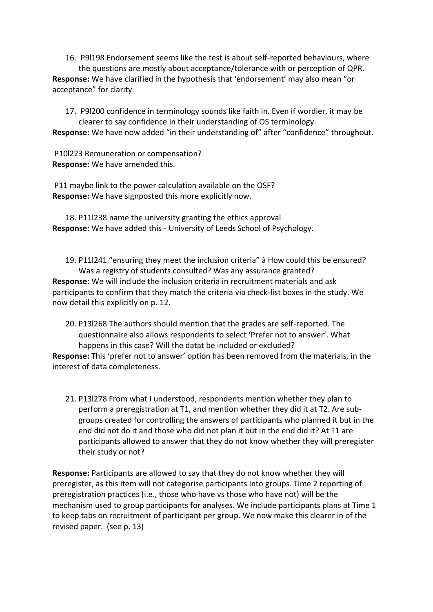16. P9l198 Endorsement seems like the test is about self-reported behaviours, where the questions are mostly about acceptance/tolerance with or perception of QPR. **Response:** We have clarified in the hypothesis that 'endorsement' may also mean "or acceptance" for clarity.

17. P9l200 confidence in terminology sounds like faith in. Even if wordier, it may be clearer to say confidence in their understanding of OS terminology.

**Response:** We have now added "in their understanding of" after "confidence" throughout.

P10l223 Remuneration or compensation? **Response:** We have amended this.

P11 maybe link to the power calculation available on the OSF? **Response:** We have signposted this more explicitly now.

18. P11l238 name the university granting the ethics approval **Response:** We have added this - University of Leeds School of Psychology.

19. P11l241 "ensuring they meet the inclusion criteria" à How could this be ensured? Was a registry of students consulted? Was any assurance granted? **Response:** We will include the inclusion criteria in recruitment materials and ask participants to confirm that they match the criteria via check-list boxes in the study. We now detail this explicitly on p. 12.

20. P13l268 The authors should mention that the grades are self-reported. The questionnaire also allows respondents to select 'Prefer not to answer'. What happens in this case? Will the datat be included or excluded? **Response:** This 'prefer not to answer' option has been removed from the materials, in the interest of data completeness.

21. P13l278 From what I understood, respondents mention whether they plan to perform a preregistration at T1, and mention whether they did it at T2. Are subgroups created for controlling the answers of participants who planned it but in the end did not do it and those who did not plan it but in the end did it? At T1 are participants allowed to answer that they do not know whether they will preregister their study or not?

**Response:** Participants are allowed to say that they do not know whether they will preregister, as this item will not categorise participants into groups. Time 2 reporting of preregistration practices (i.e., those who have vs those who have not) will be the mechanism used to group participants for analyses. We include participants plans at Time 1 to keep tabs on recruitment of participant per group. We now make this clearer in of the revised paper. (see p. 13)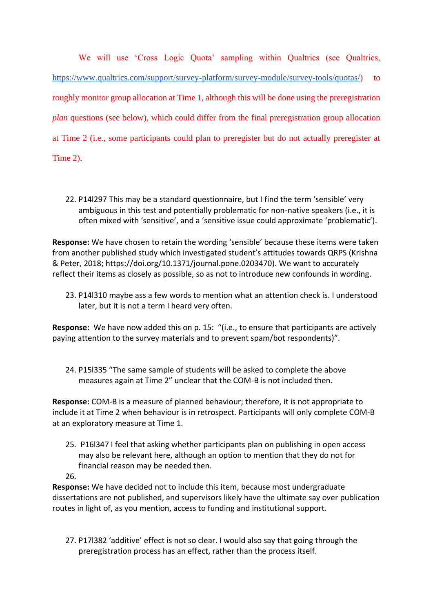We will use 'Cross Logic Quota' sampling within Qualtrics (see Qualtrics, [https://www.qualtrics.com/support/survey-platform/survey-module/survey-tools/quotas/\)](https://www.qualtrics.com/support/survey-platform/survey-module/survey-tools/quotas/) to roughly monitor group allocation at Time 1, although this will be done using the preregistration *plan* questions (see below), which could differ from the final preregistration group allocation at Time 2 (i.e., some participants could plan to preregister but do not actually preregister at Time 2).

22. P14l297 This may be a standard questionnaire, but I find the term 'sensible' very ambiguous in this test and potentially problematic for non-native speakers (i.e., it is often mixed with 'sensitive', and a 'sensitive issue could approximate 'problematic').

**Response:** We have chosen to retain the wording 'sensible' because these items were taken from another published study which investigated student's attitudes towards QRPS (Krishna & Peter, 2018; [https://doi.org/10.1371/journal.pone.0203470\)](https://doi.org/10.1371/journal.pone.0203470). We want to accurately reflect their items as closely as possible, so as not to introduce new confounds in wording.

23. P14l310 maybe ass a few words to mention what an attention check is. I understood later, but it is not a term I heard very often.

**Response:** We have now added this on p. 15: "(i.e., to ensure that participants are actively paying attention to the survey materials and to prevent spam/bot respondents)".

24. P15l335 "The same sample of students will be asked to complete the above measures again at Time 2" unclear that the COM-B is not included then.

**Response:** COM-B is a measure of planned behaviour; therefore, it is not appropriate to include it at Time 2 when behaviour is in retrospect. Participants will only complete COM-B at an exploratory measure at Time 1.

25. P16l347 I feel that asking whether participants plan on publishing in open access may also be relevant here, although an option to mention that they do not for financial reason may be needed then.

26.

**Response:** We have decided not to include this item, because most undergraduate dissertations are not published, and supervisors likely have the ultimate say over publication routes in light of, as you mention, access to funding and institutional support.

27. P17l382 'additive' effect is not so clear. I would also say that going through the preregistration process has an effect, rather than the process itself.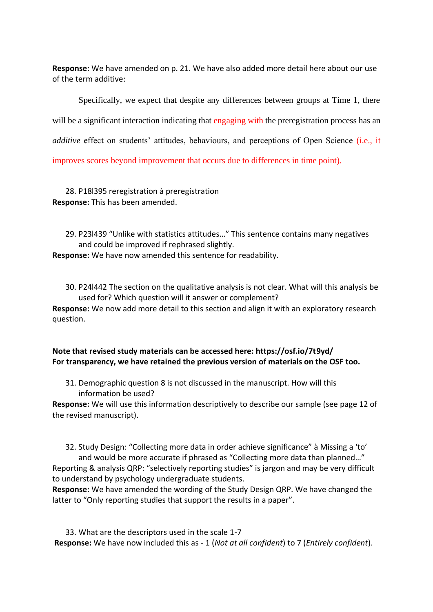**Response:** We have amended on p. 21. We have also added more detail here about our use of the term additive:

Specifically, we expect that despite any differences between groups at Time 1, there will be a significant interaction indicating that engaging with the preregistration process has an *additive* effect on students' attitudes, behaviours, and perceptions of Open Science (i.e., it improves scores beyond improvement that occurs due to differences in time point).

28. P18l395 reregistration à preregistration **Response:** This has been amended.

29. P23l439 "Unlike with statistics attitudes…" This sentence contains many negatives and could be improved if rephrased slightly.

**Response:** We have now amended this sentence for readability.

30. P24l442 The section on the qualitative analysis is not clear. What will this analysis be used for? Which question will it answer or complement?

**Response:** We now add more detail to this section and align it with an exploratory research question.

# **Note that revised study materials can be accessed here: https://osf.io/7t9yd/ For transparency, we have retained the previous version of materials on the OSF too.**

31. Demographic question 8 is not discussed in the manuscript. How will this information be used?

**Response:** We will use this information descriptively to describe our sample (see page 12 of the revised manuscript).

32. Study Design: "Collecting more data in order achieve significance" à Missing a 'to' and would be more accurate if phrased as "Collecting more data than planned…" Reporting & analysis QRP: "selectively reporting studies" is jargon and may be very difficult to understand by psychology undergraduate students.

**Response:** We have amended the wording of the Study Design QRP. We have changed the latter to "Only reporting studies that support the results in a paper".

33. What are the descriptors used in the scale 1-7 **Response:** We have now included this as - 1 (*Not at all confident*) to 7 (*Entirely confident*).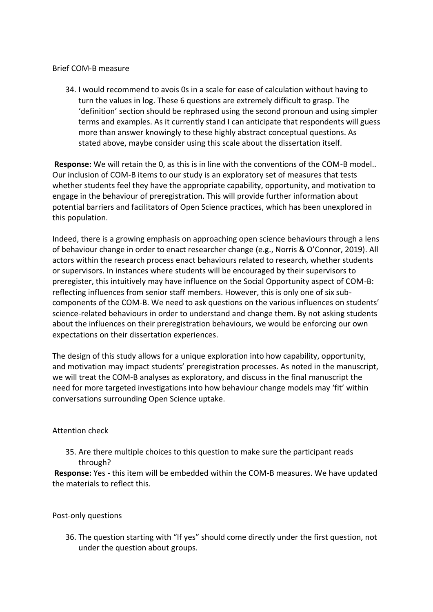### Brief COM-B measure

34. I would recommend to avois 0s in a scale for ease of calculation without having to turn the values in log. These 6 questions are extremely difficult to grasp. The 'definition' section should be rephrased using the second pronoun and using simpler terms and examples. As it currently stand I can anticipate that respondents will guess more than answer knowingly to these highly abstract conceptual questions. As stated above, maybe consider using this scale about the dissertation itself.

**Response:** We will retain the 0, as this is in line with the conventions of the COM-B model.. Our inclusion of COM-B items to our study is an exploratory set of measures that tests whether students feel they have the appropriate capability, opportunity, and motivation to engage in the behaviour of preregistration. This will provide further information about potential barriers and facilitators of Open Science practices, which has been unexplored in this population.

Indeed, there is a growing emphasis on approaching open science behaviours through a lens of behaviour change in order to enact researcher change (e.g., Norris & O'Connor, 2019). All actors within the research process enact behaviours related to research, whether students or supervisors. In instances where students will be encouraged by their supervisors to preregister, this intuitively may have influence on the Social Opportunity aspect of COM-B: reflecting influences from senior staff members. However, this is only one of six subcomponents of the COM-B. We need to ask questions on the various influences on students' science-related behaviours in order to understand and change them. By not asking students about the influences on their preregistration behaviours, we would be enforcing our own expectations on their dissertation experiences.

The design of this study allows for a unique exploration into how capability, opportunity, and motivation may impact students' preregistration processes. As noted in the manuscript, we will treat the COM-B analyses as exploratory, and discuss in the final manuscript the need for more targeted investigations into how behaviour change models may 'fit' within conversations surrounding Open Science uptake.

# Attention check

35. Are there multiple choices to this question to make sure the participant reads through?

**Response:** Yes - this item will be embedded within the COM-B measures. We have updated the materials to reflect this.

### Post-only questions

36. The question starting with "If yes" should come directly under the first question, not under the question about groups.